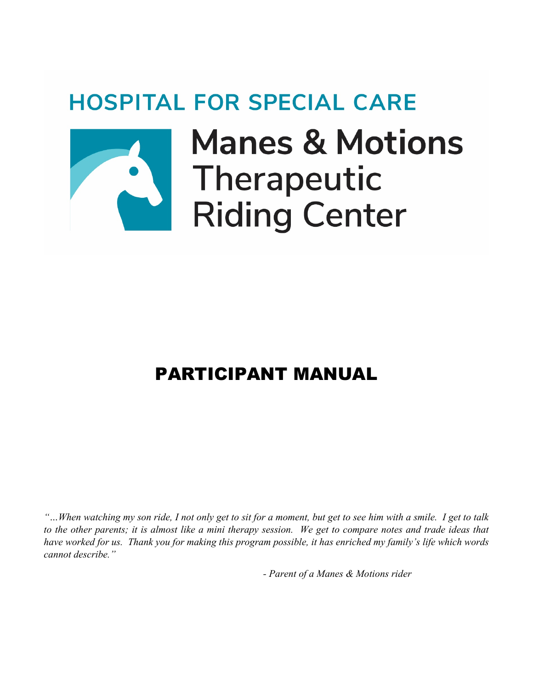## **HOSPITAL FOR SPECIAL CARE**



# **Manes & Motions** Therapeutic **Riding Center**

### PARTICIPANT MANUAL

*"…When watching my son ride, I not only get to sit for a moment, but get to see him with a smile. I get to talk to the other parents; it is almost like a mini therapy session. We get to compare notes and trade ideas that have worked for us. Thank you for making this program possible, it has enriched my family's life which words cannot describe."* 

*- Parent of a Manes & Motions rider*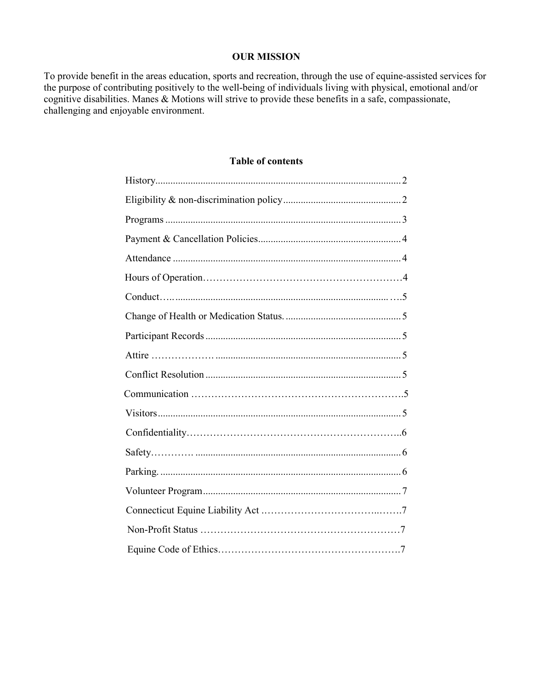#### **OUR MISSION**

To provide benefit in the areas education, sports and recreation, through the use of equine-assisted services for the purpose of contributing positively to the well-being of individuals living with physical, emotional and/or cognitive disabilities. Manes & Motions will strive to provide these benefits in a safe, compassionate, challenging and enjoyable environment.

#### **Table of contents**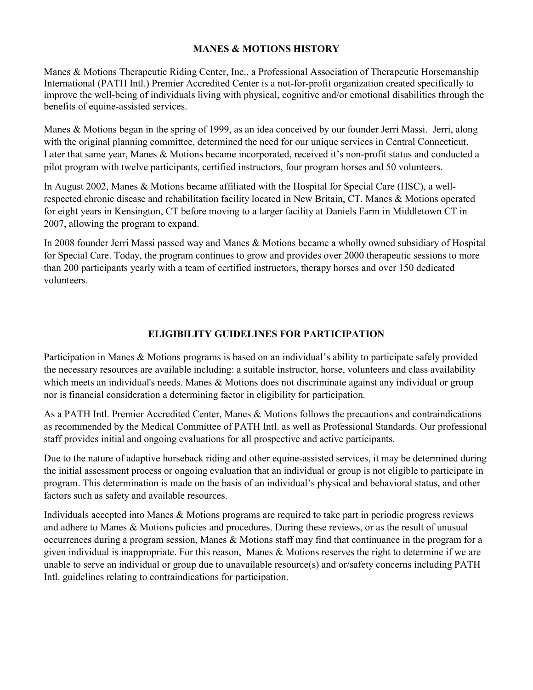#### **MANES & MOTIONS HISTORY**

Manes & Motions Therapeutic Riding Center, Inc., a Professional Association of Therapeutic Horsemanship International (PATH Intl.) Premier Accredited Center is a not-for-profit organization created specifically to improve the well-being of individuals living with physical, cognitive and/or emotional disabilities through the benefits of equine-assisted services.

Manes & Motions began in the spring of 1999, as an idea conceived by our founder Jerri Massi. Jerri, along with the original planning committee, determined the need for our unique services in Central Connecticut. Later that same year, Manes & Motions became incorporated, received it's non-profit status and conducted a pilot program with twelve participants, certified instructors, four program horses and 50 volunteers.

In August 2002, Manes & Motions became affiliated with the Hospital for Special Care (HSC), a wellrespected chronic disease and rehabilitation facility located in New Britain, CT. Manes & Motions operated for eight years in Kensington, CT before moving to a larger facility at Daniels Farm in Middletown CT in 2007, allowing the program to expand.

In 2008 founder Jerri Massi passed way and Manes & Motions became a wholly owned subsidiary of Hospital for Special Care. Today, the program continues to grow and provides over 2000 therapeutic sessions to more than 200 participants yearly with a team of certified instructors, therapy horses and over 150 dedicated volunteers.

#### **ELIGIBILITY GUIDELINES FOR PARTICIPATION**

Participation in Manes & Motions programs is based on an individual's ability to participate safely provided the necessary resources are available including: a suitable instructor, horse, volunteers and class availability which meets an individual's needs. Manes & Motions does not discriminate against any individual or group nor is financial consideration a determining factor in eligibility for participation.

As a PATH Intl. Premier Accredited Center, Manes & Motions follows the precautions and contraindications as recommended by the Medical Committee of PATH Intl. as well as Professional Standards. Our professional staff provides initial and ongoing evaluations for all prospective and active participants.

Due to the nature of adaptive horseback riding and other equine-assisted services, it may be determined during the initial assessment process or ongoing evaluation that an individual or group is not eligible to participate in program. This determination is made on the basis of an individual's physical and behavioral status, and other factors such as safety and available resources.

Individuals accepted into Manes & Motions programs are required to take part in periodic progress reviews and adhere to Manes & Motions policies and procedures. During these reviews, or as the result of unusual occurrences during a program session, Manes & Motions staff may find that continuance in the program for a given individual is inappropriate. For this reason, Manes & Motions reserves the right to determine if we are unable to serve an individual or group due to unavailable resource(s) and or/safety concerns including PATH Intl. guidelines relating to contraindications for participation.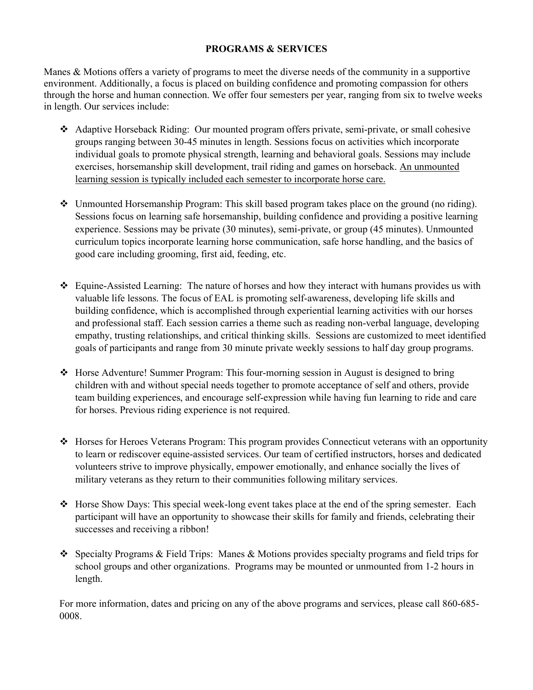#### **PROGRAMS & SERVICES**

Manes & Motions offers a variety of programs to meet the diverse needs of the community in a supportive environment. Additionally, a focus is placed on building confidence and promoting compassion for others through the horse and human connection. We offer four semesters per year, ranging from six to twelve weeks in length. Our services include:

- Adaptive Horseback Riding: Our mounted program offers private, semi-private, or small cohesive groups ranging between 30-45 minutes in length. Sessions focus on activities which incorporate individual goals to promote physical strength, learning and behavioral goals. Sessions may include exercises, horsemanship skill development, trail riding and games on horseback. An unmounted learning session is typically included each semester to incorporate horse care.
- Unmounted Horsemanship Program: This skill based program takes place on the ground (no riding). Sessions focus on learning safe horsemanship, building confidence and providing a positive learning experience. Sessions may be private (30 minutes), semi-private, or group (45 minutes). Unmounted curriculum topics incorporate learning horse communication, safe horse handling, and the basics of good care including grooming, first aid, feeding, etc.
- Equine-Assisted Learning: The nature of horses and how they interact with humans provides us with valuable life lessons. The focus of EAL is promoting self-awareness, developing life skills and building confidence, which is accomplished through experiential learning activities with our horses and professional staff. Each session carries a theme such as reading non-verbal language, developing empathy, trusting relationships, and critical thinking skills. Sessions are customized to meet identified goals of participants and range from 30 minute private weekly sessions to half day group programs.
- Horse Adventure! Summer Program: This four-morning session in August is designed to bring children with and without special needs together to promote acceptance of self and others, provide team building experiences, and encourage self-expression while having fun learning to ride and care for horses. Previous riding experience is not required.
- Horses for Heroes Veterans Program: This program provides Connecticut veterans with an opportunity to learn or rediscover equine-assisted services. Our team of certified instructors, horses and dedicated volunteers strive to improve physically, empower emotionally, and enhance socially the lives of military veterans as they return to their communities following military services.
- $\div$  Horse Show Days: This special week-long event takes place at the end of the spring semester. Each participant will have an opportunity to showcase their skills for family and friends, celebrating their successes and receiving a ribbon!
- $\bullet$  Specialty Programs & Field Trips: Manes & Motions provides specialty programs and field trips for school groups and other organizations. Programs may be mounted or unmounted from 1-2 hours in length.

For more information, dates and pricing on any of the above programs and services, please call 860-685- 0008.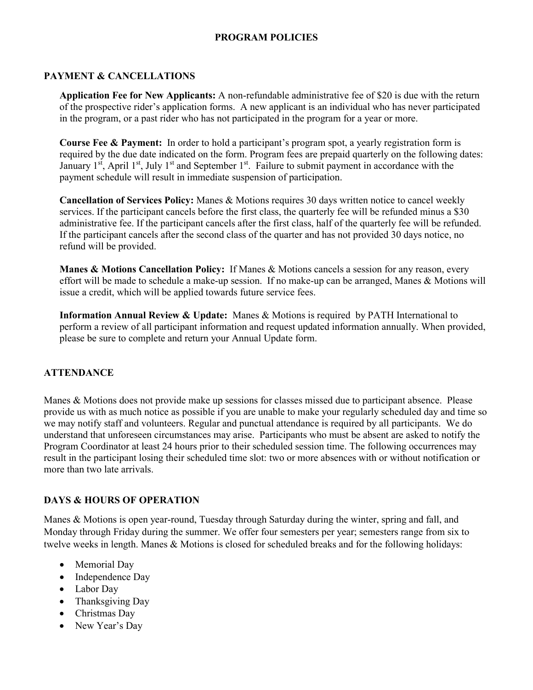#### **PROGRAM POLICIES**

#### **PAYMENT & CANCELLATIONS**

**Application Fee for New Applicants:** A non-refundable administrative fee of \$20 is due with the return of the prospective rider's application forms. A new applicant is an individual who has never participated in the program, or a past rider who has not participated in the program for a year or more.

**Course Fee & Payment:** In order to hold a participant's program spot, a yearly registration form is required by the due date indicated on the form. Program fees are prepaid quarterly on the following dates: January 1<sup>st</sup>, April 1<sup>st</sup>, July 1<sup>st</sup> and September 1<sup>st</sup>. Failure to submit payment in accordance with the payment schedule will result in immediate suspension of participation.

**Cancellation of Services Policy:** Manes & Motions requires 30 days written notice to cancel weekly services. If the participant cancels before the first class, the quarterly fee will be refunded minus a \$30 administrative fee. If the participant cancels after the first class, half of the quarterly fee will be refunded. If the participant cancels after the second class of the quarter and has not provided 30 days notice, no refund will be provided.

**Manes & Motions Cancellation Policy:** If Manes & Motions cancels a session for any reason, every effort will be made to schedule a make-up session. If no make-up can be arranged, Manes & Motions will issue a credit, which will be applied towards future service fees.

**Information Annual Review & Update:** Manes & Motions is required by PATH International to perform a review of all participant information and request updated information annually. When provided, please be sure to complete and return your Annual Update form.

#### **ATTENDANCE**

Manes & Motions does not provide make up sessions for classes missed due to participant absence. Please provide us with as much notice as possible if you are unable to make your regularly scheduled day and time so we may notify staff and volunteers. Regular and punctual attendance is required by all participants. We do understand that unforeseen circumstances may arise. Participants who must be absent are asked to notify the Program Coordinator at least 24 hours prior to their scheduled session time. The following occurrences may result in the participant losing their scheduled time slot: two or more absences with or without notification or more than two late arrivals.

#### **DAYS & HOURS OF OPERATION**

Manes & Motions is open year-round, Tuesday through Saturday during the winter, spring and fall, and Monday through Friday during the summer. We offer four semesters per year; semesters range from six to twelve weeks in length. Manes & Motions is closed for scheduled breaks and for the following holidays:

- Memorial Day
- Independence Day
- Labor Day
- Thanksgiving Day
- Christmas Day
- New Year's Day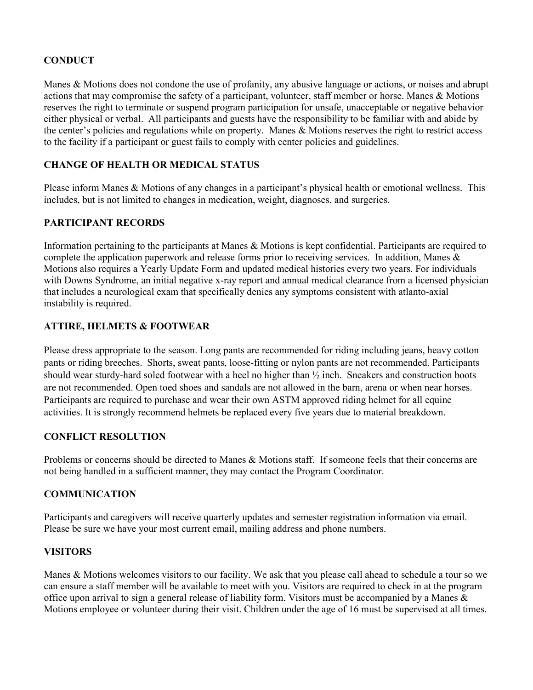#### **CONDUCT**

Manes & Motions does not condone the use of profanity, any abusive language or actions, or noises and abrupt actions that may compromise the safety of a participant, volunteer, staff member or horse. Manes & Motions reserves the right to terminate or suspend program participation for unsafe, unacceptable or negative behavior either physical or verbal. All participants and guests have the responsibility to be familiar with and abide by the center's policies and regulations while on property. Manes & Motions reserves the right to restrict access to the facility if a participant or guest fails to comply with center policies and guidelines.

#### **CHANGE OF HEALTH OR MEDICAL STATUS**

Please inform Manes & Motions of any changes in a participant's physical health or emotional wellness. This includes, but is not limited to changes in medication, weight, diagnoses, and surgeries.

#### **PARTICIPANT RECORDS**

Information pertaining to the participants at Manes & Motions is kept confidential. Participants are required to complete the application paperwork and release forms prior to receiving services. In addition, Manes & Motions also requires a Yearly Update Form and updated medical histories every two years. For individuals with Downs Syndrome, an initial negative x-ray report and annual medical clearance from a licensed physician that includes a neurological exam that specifically denies any symptoms consistent with atlanto-axial instability is required.

#### **ATTIRE, HELMETS & FOOTWEAR**

Please dress appropriate to the season. Long pants are recommended for riding including jeans, heavy cotton pants or riding breeches. Shorts, sweat pants, loose-fitting or nylon pants are not recommended. Participants should wear sturdy-hard soled footwear with a heel no higher than ½ inch. Sneakers and construction boots are not recommended. Open toed shoes and sandals are not allowed in the barn, arena or when near horses. Participants are required to purchase and wear their own ASTM approved riding helmet for all equine activities. It is strongly recommend helmets be replaced every five years due to material breakdown.

#### **CONFLICT RESOLUTION**

Problems or concerns should be directed to Manes & Motions staff. If someone feels that their concerns are not being handled in a sufficient manner, they may contact the Program Coordinator.

#### **COMMUNICATION**

Participants and caregivers will receive quarterly updates and semester registration information via email. Please be sure we have your most current email, mailing address and phone numbers.

#### **VISITORS**

Manes & Motions welcomes visitors to our facility. We ask that you please call ahead to schedule a tour so we can ensure a staff member will be available to meet with you. Visitors are required to check in at the program office upon arrival to sign a general release of liability form. Visitors must be accompanied by a Manes & Motions employee or volunteer during their visit. Children under the age of 16 must be supervised at all times.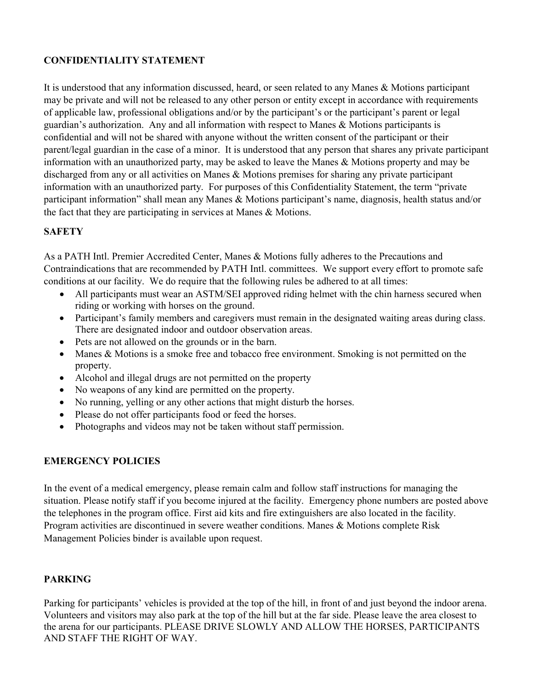#### **CONFIDENTIALITY STATEMENT**

It is understood that any information discussed, heard, or seen related to any Manes & Motions participant may be private and will not be released to any other person or entity except in accordance with requirements of applicable law, professional obligations and/or by the participant's or the participant's parent or legal guardian's authorization. Any and all information with respect to Manes & Motions participants is confidential and will not be shared with anyone without the written consent of the participant or their parent/legal guardian in the case of a minor. It is understood that any person that shares any private participant information with an unauthorized party, may be asked to leave the Manes & Motions property and may be discharged from any or all activities on Manes & Motions premises for sharing any private participant information with an unauthorized party. For purposes of this Confidentiality Statement, the term "private participant information" shall mean any Manes & Motions participant's name, diagnosis, health status and/or the fact that they are participating in services at Manes & Motions.

#### **SAFETY**

As a PATH Intl. Premier Accredited Center, Manes & Motions fully adheres to the Precautions and Contraindications that are recommended by PATH Intl. committees. We support every effort to promote safe conditions at our facility. We do require that the following rules be adhered to at all times:

- All participants must wear an ASTM/SEI approved riding helmet with the chin harness secured when riding or working with horses on the ground.
- Participant's family members and caregivers must remain in the designated waiting areas during class. There are designated indoor and outdoor observation areas.
- Pets are not allowed on the grounds or in the barn.
- Manes & Motions is a smoke free and tobacco free environment. Smoking is not permitted on the property.
- Alcohol and illegal drugs are not permitted on the property
- No weapons of any kind are permitted on the property.
- No running, yelling or any other actions that might disturb the horses.
- Please do not offer participants food or feed the horses.
- Photographs and videos may not be taken without staff permission.

#### **EMERGENCY POLICIES**

In the event of a medical emergency, please remain calm and follow staff instructions for managing the situation. Please notify staff if you become injured at the facility. Emergency phone numbers are posted above the telephones in the program office. First aid kits and fire extinguishers are also located in the facility. Program activities are discontinued in severe weather conditions. Manes & Motions complete Risk Management Policies binder is available upon request.

#### **PARKING**

Parking for participants' vehicles is provided at the top of the hill, in front of and just beyond the indoor arena. Volunteers and visitors may also park at the top of the hill but at the far side. Please leave the area closest to the arena for our participants. PLEASE DRIVE SLOWLY AND ALLOW THE HORSES, PARTICIPANTS AND STAFF THE RIGHT OF WAY.